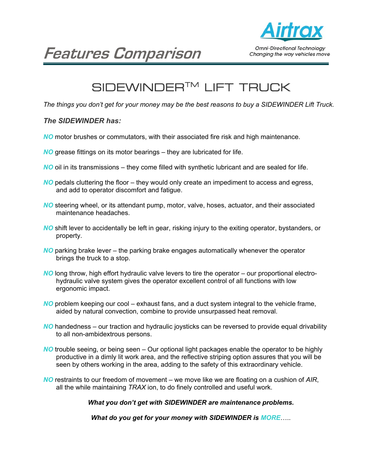

# **Features Comparison**

# SIDEWINDER<sup>™</sup> LIFT TRUCK

*The things you don't get for your money may be the best reasons to buy a SIDEWINDER Lift Truck.* 

# *The SIDEWINDER has:*

- *NO* motor brushes or commutators, with their associated fire risk and high maintenance.
- *NO* grease fittings on its motor bearings they are lubricated for life.
- *NO* oil in its transmissions they come filled with synthetic lubricant and are sealed for life.
- *NO* pedals cluttering the floor they would only create an impediment to access and egress, and add to operator discomfort and fatigue.
- *NO* steering wheel, or its attendant pump, motor, valve, hoses, actuator, and their associated maintenance headaches.
- *NO* shift lever to accidentally be left in gear, risking injury to the exiting operator, bystanders, or property.
- *NO* parking brake lever the parking brake engages automatically whenever the operator brings the truck to a stop.
- *NO* long throw, high effort hydraulic valve levers to tire the operator our proportional electro hydraulic valve system gives the operator excellent control of all functions with low ergonomic impact.
- *NO* problem keeping our cool exhaust fans, and a duct system integral to the vehicle frame, aided by natural convection, combine to provide unsurpassed heat removal.
- *NO* handedness our traction and hydraulic joysticks can be reversed to provide equal drivability to all non-ambidextrous persons.
- *NO* trouble seeing, or being seen Our optional light packages enable the operator to be highly productive in a dimly lit work area, and the reflective striping option assures that you will be seen by others working in the area, adding to the safety of this extraordinary vehicle.
- *NO* restraints to our freedom of movement we move like we are floating on a cushion of *AIR*, all the while maintaining *TRAX* ion, to do finely controlled and useful work.

*What you don't get with SIDEWINDER are maintenance problems.* 

*What do you get for your money with SIDEWINDER is MORE*…..